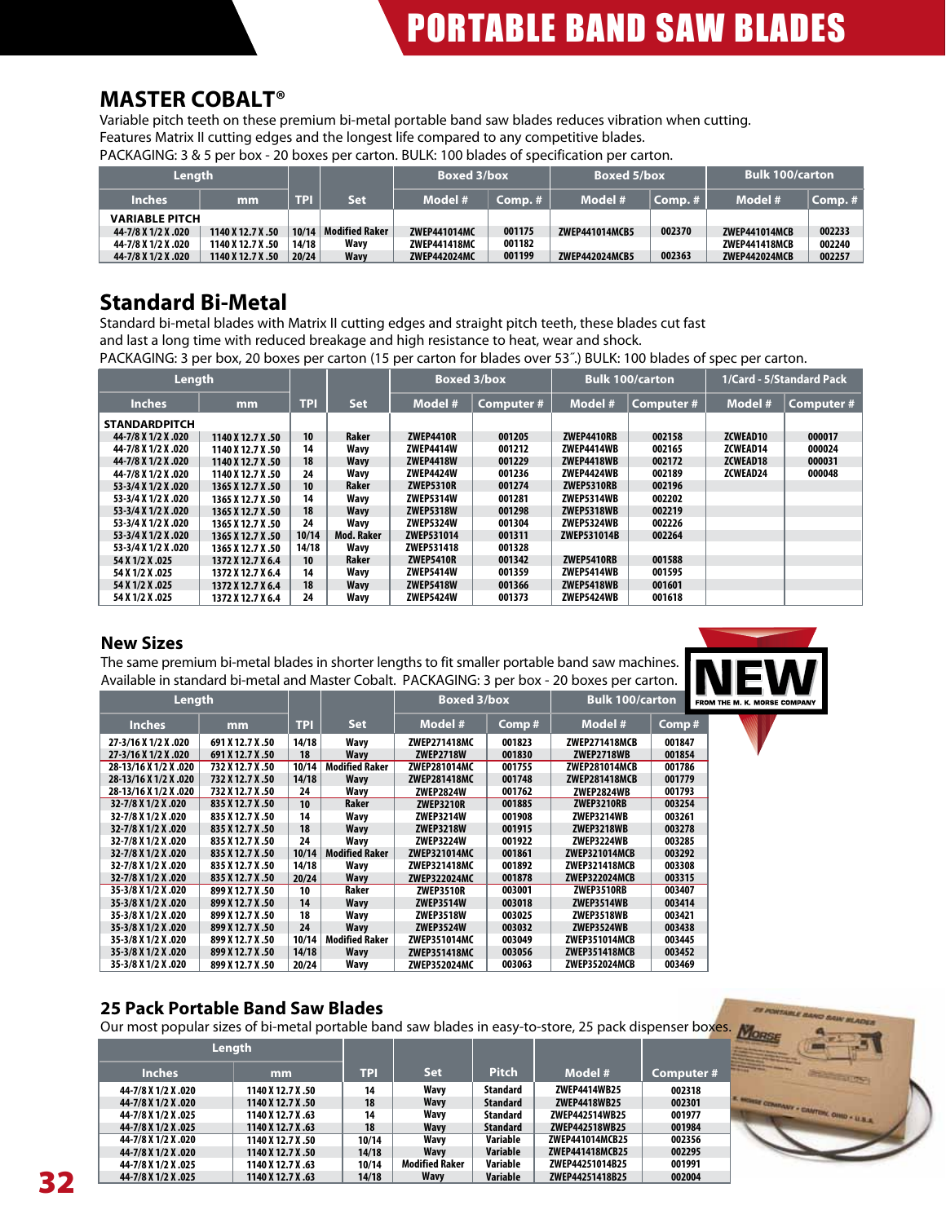# **MASTER COBALT®**

Variable pitch teeth on these premium bi-metal portable band saw blades reduces vibration when cutting. Features Matrix II cutting edges and the longest life compared to any competitive blades.

PACKAGING: 3 & 5 per box - 20 boxes per carton. BULK: 100 blades of specification per carton.

| Length                |                   |       |                       | <b>Boxed 3/box</b>  |           | <b>Boxed 5/box</b> |         | <b>Bulk 100/carton</b> |           |  |
|-----------------------|-------------------|-------|-----------------------|---------------------|-----------|--------------------|---------|------------------------|-----------|--|
| <b>Inches</b>         | mm                | TPI   | <b>Set</b>            | Model #             | $Comp.$ # | Model #            | Comp. # | Model #                | $Comp.$ # |  |
| <b>VARIABLE PITCH</b> |                   |       |                       |                     |           |                    |         |                        |           |  |
| 44-7/8 X 1/2 X .020   | 1140 X 12.7 X .50 | 10/14 | <b>Modified Raker</b> | ZWEP441014MC        | 001175    | ZWEP441014MCB5     | 002370  | <b>ZWEP441014MCB</b>   | 002233    |  |
| 44-7/8 X 1/2 X .020   | 1140 X 12.7 X .50 | 14/18 | Wavv                  | <b>ZWEP441418MC</b> | 001182    |                    |         | <b>ZWEP441418MCB</b>   | 002240    |  |
| 44-7/8 X 1/2 X .020   | 1140 X 12.7 X .50 | 20/24 | <b>Wavy</b>           | <b>ZWEP442024MC</b> | 001199    | ZWEP442024MCB5     | 002363  | <b>ZWEP442024MCB</b>   | 002257    |  |

## **Standard Bi-Metal**

Standard bi-metal blades with Matrix II cutting edges and straight pitch teeth, these blades cut fast and last a long time with reduced breakage and high resistance to heat, wear and shock.

PACKAGING: 3 per box, 20 boxes per carton (15 per carton for blades over 53˝.) BULK: 100 blades of spec per carton.

| Length               |                   |            |            | <b>Boxed 3/box</b> |            |                   | <b>Bulk 100/carton</b> | 1/Card - 5/Standard Pack |                  |  |  |
|----------------------|-------------------|------------|------------|--------------------|------------|-------------------|------------------------|--------------------------|------------------|--|--|
| <b>Inches</b>        | mm                | <b>TPI</b> | <b>Set</b> | Model #            | Computer # | Model #           | Computer #             | Model #                  | <b>Computer#</b> |  |  |
| <b>STANDARDPITCH</b> |                   |            |            |                    |            |                   |                        |                          |                  |  |  |
| 44-7/8 X 1/2 X .020  | 1140 X 12.7 X .50 | 10         | Raker      | <b>ZWEP4410R</b>   | 001205     | ZWEP4410RB        | 002158                 | ZCWEAD10                 | 000017           |  |  |
| 44-7/8 X 1/2 X .020  | 1140 X 12.7 X .50 | 14         | Wavv       | <b>ZWEP4414W</b>   | 001212     | ZWEP4414WB        | 002165                 | ZCWEAD14                 | 000024           |  |  |
| 44-7/8 X 1/2 X .020  | 1140 X 12.7 X .50 | 18         | Wavv       | <b>ZWEP4418W</b>   | 001229     | ZWEP4418WB        | 002172                 | <b>ZCWEAD18</b>          | 000031           |  |  |
| 44-7/8 X 1/2 X .020  | 1140 X 12.7 X .50 | 24         | Wavy       | <b>ZWEP4424W</b>   | 001236     | ZWEP4424WB        | 002189                 | ZCWEAD24                 | 000048           |  |  |
| 53-3/4 X 1/2 X .020  | 1365 X 12.7 X .50 | 10         | Raker      | <b>ZWEP5310R</b>   | 001274     | ZWEP5310RB        | 002196                 |                          |                  |  |  |
| 53-3/4 X 1/2 X .020  | 1365 X 12.7 X .50 | 14         | Wavy       | <b>ZWEP5314W</b>   | 001281     | ZWEP5314WB        | 002202                 |                          |                  |  |  |
| 53-3/4 X 1/2 X .020  | 1365 X 12.7 X .50 | 18         | Wavv       | <b>ZWEP5318W</b>   | 001298     | <b>ZWEP5318WB</b> | 002219                 |                          |                  |  |  |
| 53-3/4 X 1/2 X .020  | 1365 X 12.7 X .50 | 24         | Wavv       | <b>ZWEP5324W</b>   | 001304     | ZWEP5324WB        | 002226                 |                          |                  |  |  |
| 53-3/4 X 1/2 X .020  | 1365 X 12.7 X .50 | 10/14      | Mod. Raker | ZWEP531014         | 001311     | ZWEP531014B       | 002264                 |                          |                  |  |  |
| 53-3/4 X 1/2 X .020  | 1365 X 12.7 X .50 | 14/18      | Wavv       | ZWEP531418         | 001328     |                   |                        |                          |                  |  |  |
| 54 X 1/2 X .025      | 1372 X 12.7 X 6.4 | 10         | Raker      | <b>ZWEP5410R</b>   | 001342     | ZWEP5410RB        | 001588                 |                          |                  |  |  |
| 54 X 1/2 X .025      | 1372 X 12.7 X 6.4 | 14         | Wavy       | <b>ZWEP5414W</b>   | 001359     | ZWEP5414WB        | 001595                 |                          |                  |  |  |
| 54 X 1/2 X .025      | 1372 X 12.7 X 6.4 | 18         | Wavy       | <b>ZWEP5418W</b>   | 001366     | <b>ZWEP5418WB</b> | 001601                 |                          |                  |  |  |
| 54 X 1/2 X .025      | 1372 X 12.7 X 6.4 | 24         | Wavy       | <b>ZWEP5424W</b>   | 001373     | ZWEP5424WB        | 001618                 |                          |                  |  |  |

#### **New Sizes**

The same premium bi-metal blades in shorter lengths to fit smaller portable band saw machines. Available in standard bi-metal and Master Cobalt. PACKAGING: 3 per box - 20 boxes per carton.



| Length                |                  |            |                       | <b>Boxed 3/box</b>  |        | <b>Bulk 100/carton</b> |        | FROM |
|-----------------------|------------------|------------|-----------------------|---------------------|--------|------------------------|--------|------|
| <b>Inches</b>         | mm               | <b>TPI</b> | <b>Set</b>            | Model #             | Comp#  | Model #                | Comp#  |      |
| 27-3/16 X 1/2 X .020  | 691 X 12.7 X .50 | 14/18      | Wavy                  | <b>ZWEP271418MC</b> | 001823 | <b>ZWEP271418MCB</b>   | 001847 |      |
| 27-3/16 X 1/2 X .020  | 691 X 12.7 X .50 | 18         | Wavv                  | <b>ZWEP2718W</b>    | 001830 | <b>ZWEP2718WB</b>      | 001854 |      |
| 28-13/16 X 1/2 X .020 | 732 X 12.7 X .50 | 10/14      | <b>Modified Raker</b> | <b>ZWEP281014MC</b> | 001755 | <b>ZWEP281014MCB</b>   | 001786 |      |
| 28-13/16 X 1/2 X .020 | 732 X 12.7 X .50 | 14/18      | Wavy                  | <b>ZWEP281418MC</b> | 001748 | <b>ZWEP281418MCB</b>   | 001779 |      |
| 28-13/16 X 1/2 X .020 | 732 X 12.7 X .50 | 24         | Wavy                  | <b>ZWEP2824W</b>    | 001762 | ZWEP2824WB             | 001793 |      |
| 32-7/8 X 1/2 X .020   | 835 X 12.7 X .50 | 10         | Raker                 | <b>ZWEP3210R</b>    | 001885 | ZWEP3210RB             | 003254 |      |
| 32-7/8 X 1/2 X .020   | 835 X 12.7 X .50 | 14         | Wavy                  | <b>ZWEP3214W</b>    | 001908 | ZWEP3214WB             | 003261 |      |
| 32-7/8 X 1/2 X .020   | 835 X 12.7 X .50 | 18         | Wavy                  | <b>ZWEP3218W</b>    | 001915 | <b>ZWEP3218WB</b>      | 003278 |      |
| 32-7/8 X 1/2 X .020   | 835 X 12.7 X .50 | 24         | Wavv                  | <b>ZWEP3224W</b>    | 001922 | ZWEP3224WB             | 003285 |      |
| 32-7/8 X 1/2 X .020   | 835 X 12.7 X .50 | 10/14      | <b>Modified Raker</b> | <b>ZWEP321014MC</b> | 001861 | <b>ZWEP321014MCB</b>   | 003292 |      |
| 32-7/8 X 1/2 X .020   | 835 X 12.7 X .50 | 14/18      | Wavy                  | ZWEP321418MC        | 001892 | <b>ZWEP321418MCB</b>   | 003308 |      |
| 32-7/8 X 1/2 X .020   | 835 X 12.7 X .50 | 20/24      | Wavy                  | <b>ZWEP322024MC</b> | 001878 | <b>ZWEP322024MCB</b>   | 003315 |      |
| 35-3/8 X 1/2 X .020   | 899 X 12.7 X .50 | 10         | Raker                 | <b>ZWEP3510R</b>    | 003001 | ZWEP3510RB             | 003407 |      |
| 35-3/8 X 1/2 X .020   | 899 X 12.7 X .50 | 14         | Wavy                  | <b>ZWEP3514W</b>    | 003018 | <b>ZWEP3514WB</b>      | 003414 |      |
| 35-3/8 X 1/2 X .020   | 899 X 12.7 X .50 | 18         | Wavy                  | <b>ZWEP3518W</b>    | 003025 | ZWEP3518WB             | 003421 |      |
| 35-3/8 X 1/2 X .020   | 899 X 12.7 X .50 | 24         | Wavv                  | <b>ZWEP3524W</b>    | 003032 | <b>ZWEP3524WB</b>      | 003438 |      |
| 35-3/8 X 1/2 X .020   | 899 X 12.7 X .50 | 10/14      | <b>Modified Raker</b> | <b>ZWEP351014MC</b> | 003049 | <b>ZWEP351014MCB</b>   | 003445 |      |
| 35-3/8 X 1/2 X .020   | 899 X 12.7 X .50 | 14/18      | Wavy                  | <b>ZWEP351418MC</b> | 003056 | <b>ZWEP351418MCB</b>   | 003452 |      |
| 35-3/8 X 1/2 X .020   | 899 X 12.7 X .50 | 20/24      | Wavy                  | ZWEP352024MC        | 003063 | ZWEP352024MCB          | 003469 |      |

## **25 Pack Portable Band Saw Blades**

Our most popular sizes of bi-metal portable band saw blades in easy-to-store, 25 pack dispenser boxes.

| Length              |                   |            |                       |                 |                 | 蕊         |  |
|---------------------|-------------------|------------|-----------------------|-----------------|-----------------|-----------|--|
| <b>Inches</b>       | mm                | <b>TPI</b> | <b>Set</b>            | <b>Pitch</b>    | Model #         | Computer# |  |
| 44-7/8 X 1/2 X .020 | 1140 X 12.7 X .50 | 14         | Wavv                  | <b>Standard</b> | ZWEP4414WB25    | 002318    |  |
| 44-7/8 X 1/2 X .020 | 1140 X 12.7 X .50 | 18         | Wavv                  | <b>Standard</b> | ZWEP4418WB25    | 002301    |  |
| 44-7/8 X 1/2 X .025 | 1140 X 12.7 X .63 | 14         | Wavv                  | Standard        | ZWEP442514WB25  | 001977    |  |
| 44-7/8 X 1/2 X .025 | 1140 X 12.7 X .63 | 18         | Wavv                  | <b>Standard</b> | ZWEP442518WB25  | 001984    |  |
| 44-7/8 X 1/2 X .020 | 1140 X 12.7 X .50 | 10/14      | Wavv                  | Variable        | ZWEP441014MCB25 | 002356    |  |
| 44-7/8 X 1/2 X .020 | 1140 X 12.7 X .50 | 14/18      | Wavv                  | Variable        | ZWEP441418MCB25 | 002295    |  |
| 44-7/8 X 1/2 X .025 | 1140 X 12.7 X .63 | 10/14      | <b>Modified Raker</b> | Variable        | ZWEP44251014B25 | 001991    |  |
| 44-7/8 X 1/2 X .025 | 1140 X 12.7 X .63 | 14/18      | Wavv                  | Variable        | ZWEP44251418B25 | 002004    |  |